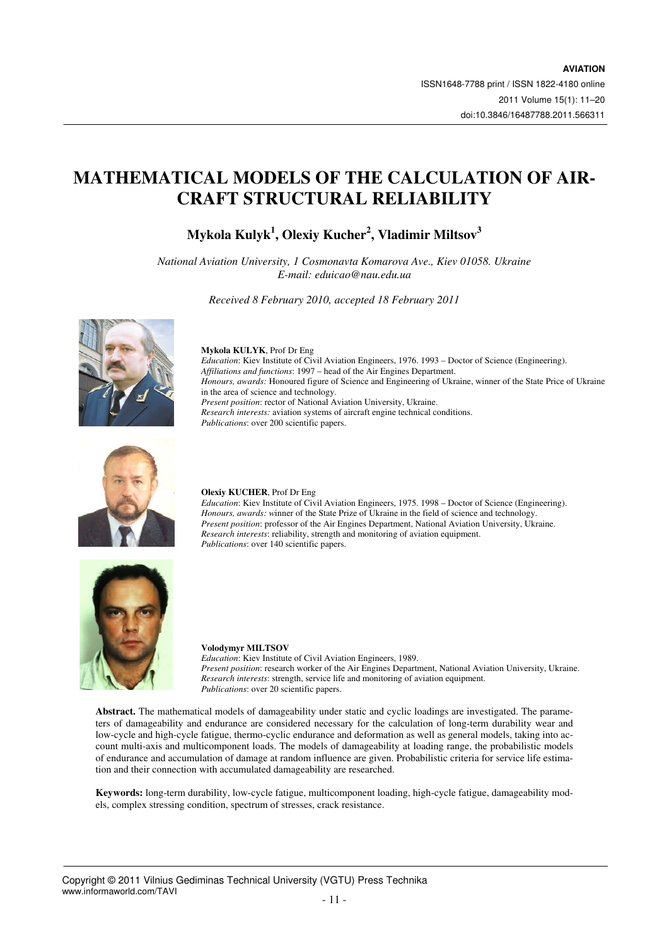# **MATHEMATICAL MODELS OF THE CALCULATION OF AIR-CRAFT STRUCTURAL RELIABILITY**

**Mykola Kulyk<sup>1</sup> , Olexiy Kucher<sup>2</sup> , Vladimir Miltsov<sup>3</sup>**

*National Aviation University, 1 Cosmonavta Komarova Ave., Kiev 01058. Ukraine E-mail: eduicao@nau.edu.ua*

*Received 8 February 2010, accepted 18 February 2011* 



# **Mykola KULYK**, Prof Dr Eng

*Education*: Kiev Institute of Civil Aviation Engineers, 1976. 1993 – Doctor of Science (Engineering). *Affiliations and functions*: 1997 – head of the Air Engines Department. *Honours, awards:* Honoured figure of Science and Engineering of Ukraine, winner of the State Price of Ukraine in the area of science and technology. *Present position*: rector of National Aviation University, Ukraine. *Research interests:* aviation systems of aircraft engine technical conditions. *Publications*: over 200 scientific papers.



#### **Olexiy KUCHER**, Prof Dr Eng

*Education*: Kiev Institute of Civil Aviation Engineers, 1975. 1998 – Doctor of Science (Engineering). *Honours, awards: w*inner of the State Prize of Ukraine in the field of science and technology. *Present position*: professor of the Air Engines Department, National Aviation University, Ukraine. *Research interests*: reliability, strength and monitoring of aviation equipment. *Publications*: over 140 scientific papers.





*Education*: Kiev Institute of Civil Aviation Engineers, 1989. *Present position*: research worker of the Air Engines Department, National Aviation University, Ukraine. *Research interests*: strength, service life and monitoring of aviation equipment. *Publications*: over 20 scientific papers.

**Abstract.** The mathematical models of damageability under static and cyclic loadings are investigated. The parameters of damageability and endurance are considered necessary for the calculation of long-term durability wear and low-cycle and high-cycle fatigue, thermo-cyclic endurance and deformation as well as general models, taking into account multi-axis and multicomponent loads. The models of damageability at loading range, the probabilistic models of endurance and accumulation of damage at random influence are given. Probabilistic criteria for service life estimation and their connection with accumulated damageability are researched.

**Keywords:** long-term durability, low-cycle fatigue, multicomponent loading, high-cycle fatigue, damageability models, complex stressing condition, spectrum of stresses, crack resistance.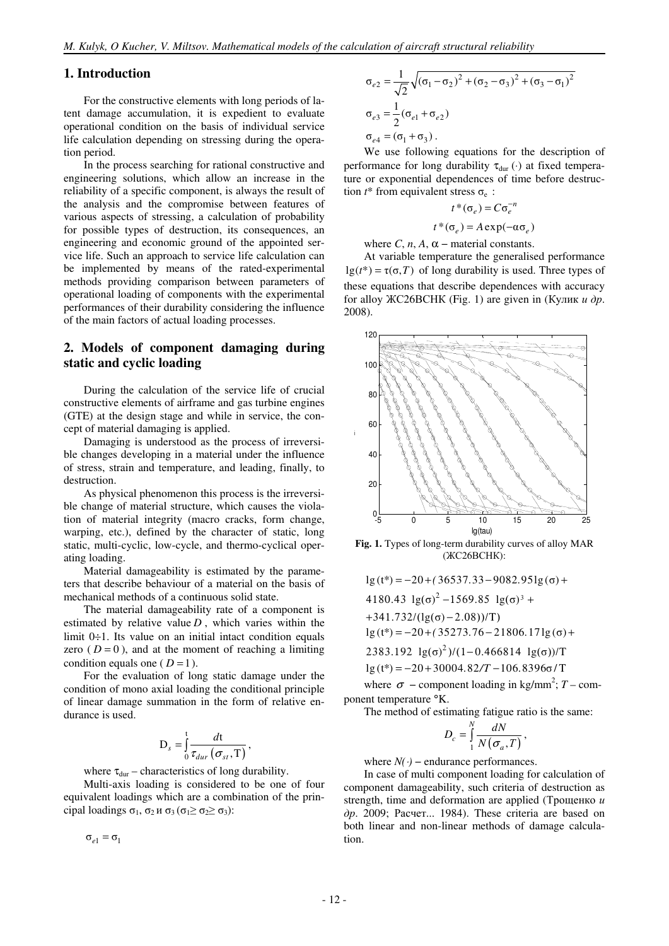### **1. Introduction**

For the constructive elements with long periods of latent damage accumulation, it is expedient to evaluate operational condition on the basis of individual service life calculation depending on stressing during the operation period.

In the process searching for rational constructive and engineering solutions, which allow an increase in the reliability of a specific component, is always the result of the analysis and the compromise between features of various aspects of stressing, a calculation of probability for possible types of destruction, its consequences, an engineering and economic ground of the appointed service life. Such an approach to service life calculation can be implemented by means of the rated-experimental methods providing comparison between parameters of operational loading of components with the experimental performances of their durability considering the influence of the main factors of actual loading processes.

### **2. Models of component damaging during static and cyclic loading**

During the calculation of the service life of crucial constructive elements of airframe and gas turbine engines (GTE) at the design stage and while in service, the concept of material damaging is applied.

Damaging is understood as the process of irreversible changes developing in a material under the influence of stress, strain and temperature, and leading, finally, to destruction.

As physical phenomenon this process is the irreversible change of material structure, which causes the violation of material integrity (macro cracks, form change, warping, etc.), defined by the character of static, long static, multi-cyclic, low-cycle, and thermo-cyclical operating loading.

Material damageability is estimated by the parameters that describe behaviour of a material on the basis of mechanical methods of a continuous solid state.

The material damageability rate of a component is estimated by relative value  $D$ , which varies within the limit  $0 \div 1$ . Its value on an initial intact condition equals zero  $(D=0)$ , and at the moment of reaching a limiting condition equals one ( $D = 1$ ).

For the evaluation of long static damage under the condition of mono axial loading the conditional principle of linear damage summation in the form of relative endurance is used.

$$
\mathbf{D}_s = \int_0^t \frac{dt}{\tau_{dur}(\sigma_{st}, \mathbf{T})}
$$

,

where  $\tau_{dur}$  – characteristics of long durability.

Multi-axis loading is considered to be one of four equivalent loadings which are a combination of the principal loadings  $\sigma_1$ ,  $\sigma_2$   $\mu$   $\sigma_3$  ( $\sigma_1 \geq \sigma_2 \geq \sigma_3$ ):

 $\sigma_{e1} = \sigma_1$ 

$$
\sigma_{e2} = \frac{1}{\sqrt{2}} \sqrt{(\sigma_1 - \sigma_2)^2 + (\sigma_2 - \sigma_3)^2 + (\sigma_3 - \sigma_1)^2}
$$
  
\n
$$
\sigma_{e3} = \frac{1}{2} (\sigma_{e1} + \sigma_{e2})
$$
  
\n
$$
\sigma_{e4} = (\sigma_1 + \sigma_3).
$$

We use following equations for the description of performance for long durability  $\tau_{dur}(\cdot)$  at fixed temperature or exponential dependences of time before destruction  $t^*$  from equivalent stress  $\sigma_e$ :

$$
t^*(\sigma_e) = C\sigma_e^{-n}
$$
  

$$
t^*(\sigma_e) = A \exp(-\alpha \sigma_e)
$$

where  $C$ ,  $n$ ,  $A$ ,  $\alpha$  – material constants.

At variable temperature the generalised performance  $lg(t^*) = \tau(\sigma, T)$  of long durability is used. Three types of these equations that describe dependences with accuracy for alloy ЖС26ВСНК (Fig. 1) are given in (Кулик  $u \, \partial p$ . 2008).



**Fig. 1.** Types of long-term durability curves of alloy MAR (ЖС26ВСНК):

 $\lg(t^*) = -20 + (36537.33 - 9082.951g(\sigma) +$ 

4180.43 
$$
lg(\sigma)^2 - 1569.85
$$
  $lg(\sigma)^3$  +

 $+341.732/(lg(\sigma)-2.08))/T$ 

$$
lg(t^*) = -20 + (35273.76 - 21806.17lg(\sigma) +
$$

 $2383.192 \lg(\sigma)^2$ )/(1-0.466814  $\lg(\sigma)$ )/T

$$
lg(t^*) = -20 + 30004.82/T - 106.8396\sigma/T
$$

where  $\sigma$  – component loading in kg/mm<sup>2</sup>; *T* – component temperature °K.

The method of estimating fatigue ratio is the same:

$$
D_c = \int\limits_1^N \frac{dN}{N(\sigma_a, T)},
$$

where  $N(\cdot)$  – endurance performances.

In case of multi component loading for calculation of component damageability, such criteria of destruction as strength, time and deformation are applied (Трощенко *и*  $\partial p$ . 2009; Расчет... 1984). These criteria are based on both linear and non-linear methods of damage calculation.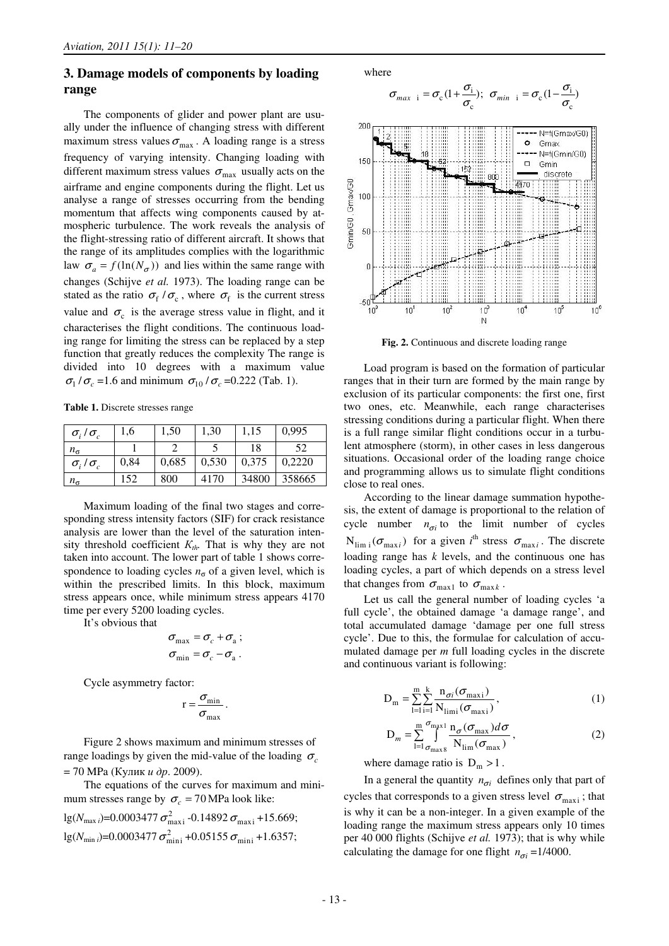### **3. Damage models of components by loading range**

The components of glider and power plant are usually under the influence of changing stress with different maximum stress values  $\sigma_{\text{max}}$ . A loading range is a stress frequency of varying intensity. Changing loading with different maximum stress values  $\sigma_{\text{max}}$  usually acts on the airframe and engine components during the flight. Let us analyse a range of stresses occurring from the bending momentum that affects wing components caused by atmospheric turbulence. The work reveals the analysis of the flight-stressing ratio of different aircraft. It shows that the range of its amplitudes complies with the logarithmic law  $\sigma_a = f(\ln(N_\sigma))$  and lies within the same range with changes (Schijve *et al.* 1973). The loading range can be stated as the ratio  $\sigma_f / \sigma_c$ , where  $\sigma_f$  is the current stress value and  $\sigma_c$  is the average stress value in flight, and it characterises the flight conditions. The continuous loading range for limiting the stress can be replaced by a step function that greatly reduces the complexity The range is divided into 10 degrees with a maximum value  $\sigma_1 / \sigma_c$  =1.6 and minimum  $\sigma_{10} / \sigma_c$  =0.222 (Tab. 1).

**Table 1.** Discrete stresses range

| $\sigma_i/\sigma_c$ | 1,6  | 1,50  | 1,30  | 1,15  | 0,995  |
|---------------------|------|-------|-------|-------|--------|
| $n_{\sigma}$        |      |       |       | 18    | 52     |
| $\sigma_i/\sigma_c$ | 0,84 | 0,685 | 0,530 | 0,375 | 0.2220 |
| $n_{\sigma}$        | 152  | 800   | 4170  | 34800 | 358665 |

Maximum loading of the final two stages and corresponding stress intensity factors (SIF) for crack resistance analysis are lower than the level of the saturation intensity threshold coefficient  $K_{th}$ . That is why they are not taken into account. The lower part of table 1 shows correspondence to loading cycles  $n<sub>σ</sub>$  of a given level, which is within the prescribed limits. In this block, maximum stress appears once, while minimum stress appears 4170 time per every 5200 loading cycles.

It's obvious that

$$
\sigma_{\text{max}} = \sigma_c + \sigma_a ;
$$
  

$$
\sigma_{\text{min}} = \sigma_c - \sigma_a .
$$

Cycle asymmetry factor:

$$
r = \frac{\sigma_{\min}}{\sigma_{\max}}.
$$

Figure 2 shows maximum and minimum stresses of range loadings by given the mid-value of the loading  $\sigma_c$  $= 70$  MPa (Кулик *и др.* 2009).

The equations of the curves for maximum and minimum stresses range by  $\sigma_c = 70 \text{ MPa}$  look like:  $\log(N_{\text{max}})$ =0.0003477 $\sigma^2$  -0.14892 $\sigma$  +15.669;

$$
1g(N_{\min i})=0.0003477 \sigma_{\min i}^2 + 0.05155 \sigma_{\min i} + 1.6357;
$$



**Fig. 2.** Continuous and discrete loading range

Load program is based on the formation of particular ranges that in their turn are formed by the main range by exclusion of its particular components: the first one, first two ones, etc. Meanwhile, each range characterises stressing conditions during a particular flight. When there is a full range similar flight conditions occur in a turbulent atmosphere (storm), in other cases in less dangerous situations. Occasional order of the loading range choice and programming allows us to simulate flight conditions close to real ones.

According to the linear damage summation hypothesis, the extent of damage is proportional to the relation of cycle number  $n_{\sigma i}$  to the limit number of cycles  $N_{\lim i}(\sigma_{\max i})$  for a given *i*<sup>th</sup> stress  $\sigma_{\max i}$ . The discrete loading range has *k* levels, and the continuous one has loading cycles, a part of which depends on a stress level that changes from  $\sigma_{\text{max1}}$  to  $\sigma_{\text{max}k}$ .

Let us call the general number of loading cycles 'a full cycle', the obtained damage 'a damage range', and total accumulated damage 'damage per one full stress cycle'. Due to this, the formulae for calculation of accumulated damage per *m* full loading cycles in the discrete and continuous variant is following:

$$
D_{m} = \sum_{l=1}^{m} \sum_{i=1}^{k} \frac{n_{\sigma i}(\sigma_{\text{max}i})}{N_{\text{limi}}(\sigma_{\text{maxi}})},
$$
\n(1)

$$
D_m = \sum_{l=1}^{m} \int_{\sigma_{\text{max}}}^{\sigma_{\text{max}}} \frac{n_{\sigma}(\sigma_{\text{max}})d\sigma}{N_{\text{lim}}(\sigma_{\text{max}})},
$$
 (2)

where damage ratio is  $D_m > 1$ .

In a general the quantity  $n_{\sigma i}$  defines only that part of cycles that corresponds to a given stress level  $\sigma_{\text{maxi}}$ ; that is why it can be a non-integer. In a given example of the loading range the maximum stress appears only 10 times per 40 000 flights (Schijve *et al.* 1973); that is why while calculating the damage for one flight  $n_{\sigma i} = 1/4000$ .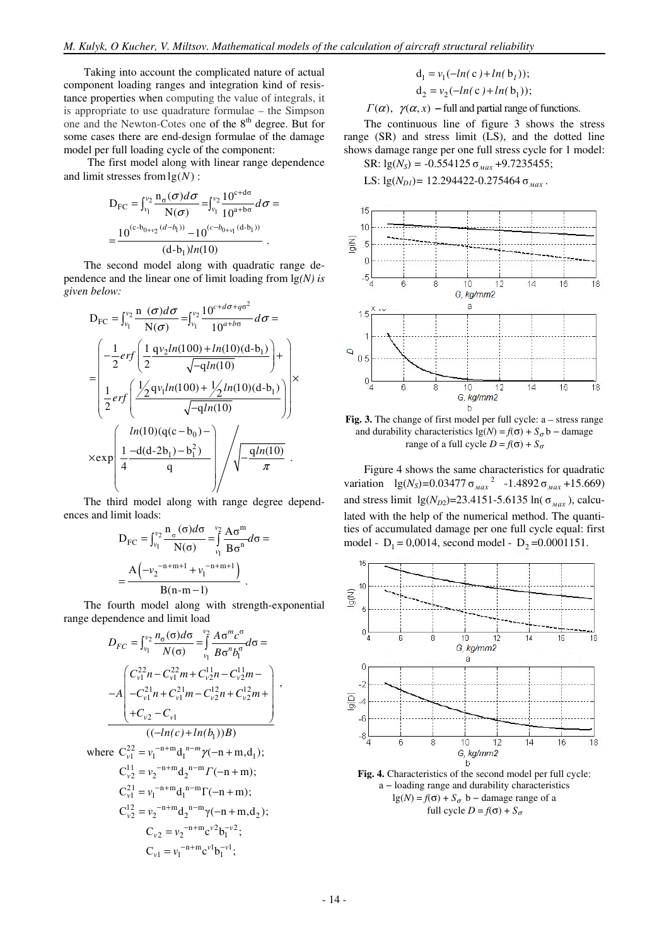Taking into account the complicated nature of actual component loading ranges and integration kind of resistance properties when computing the value of integrals, it is appropriate to use quadrature formulae – the Simpson one and the Newton-Cotes one of the 8<sup>th</sup> degree. But for some cases there are end-design formulae of the damage model per full loading cycle of the component:

The first model along with linear range dependence and limit stresses from  $\lg(N)$  :

$$
D_{FC} = \int_{v_1}^{v_2} \frac{n_{\sigma}(\sigma) d\sigma}{N(\sigma)} = \int_{v_1}^{v_2} \frac{10^{c+d\sigma}}{10^{a+b\sigma}} d\sigma =
$$

$$
= \frac{10^{(c-b_{0+v_2}(d-b_1))} - 10^{(c-b_{0+v_1}(d-b_1))}}{(d-b_1)ln(10)}.
$$

The second model along with quadratic range dependence and the linear one of limit loading from lg*(N) is given below:*

$$
D_{FC} = \int_{v_1}^{v_2} \frac{n(\sigma)d\sigma}{N(\sigma)} = \int_{v_1}^{v_2} \frac{10^{c+d\sigma+q\sigma^2}}{10^{a+b\sigma}} d\sigma =
$$
  
\n
$$
= \left( \frac{-\frac{1}{2} erf \left( \frac{1}{2} \frac{qv_2ln(100) + ln(10)(d-b_1)}{\sqrt{-qln(10)}} \right) + \frac{1}{2} erf \left( \frac{\frac{1}{2} qv_1ln(100) + \frac{1}{2} ln(10)(d-b_1)}{\sqrt{-qln(10)}} \right) \right) \times
$$
  
\n
$$
\times \exp \left( \frac{ln(10)(q(c-b_0) - \sqrt{-qln(10)}}{q} \right) / \sqrt{-\frac{qln(10)}{\pi}}.
$$

The third model along with range degree dependences and limit loads:

$$
D_{FC} = \int_{\nu_1}^{\nu_2} \frac{n_{\sigma} (\sigma) d\sigma}{N(\sigma)} = \int_{\nu_1}^{\nu_2} \frac{A \sigma^m}{B \sigma^n} d\sigma =
$$

$$
= \frac{A(-{\nu_2}^{-n+m+1} + {\nu_1}^{-n+m+1})}{B(n-m-1)}.
$$

The fourth model along with strength-exponential range dependence and limit load

$$
D_{FC} = \int_{v_1}^{v_2} \frac{n_{\sigma}(\sigma)d\sigma}{N(\sigma)} = \int_{v_1}^{v_2} \frac{A\sigma^m c^{\sigma}}{B\sigma^n b_1^{\sigma}} d\sigma =
$$
  

$$
-A \begin{pmatrix} C_{v1}^{22}n - C_{v1}^{22}m + C_{v2}^{11}n - C_{v2}^{11}m - C_{v2}^{12}m + C_{v2}^{11}m + C_{v1}^{11}n - C_{v2}^{12}n + C_{v2}^{12}m + C_{v2}^{12}m + C_{v2}^{12}m + C_{v2}^{12}m + C_{v2}^{12}m + C_{v2}^{12}m + C_{v2}^{12}m + C_{v2}^{12}m + C_{v2}^{12}m + C_{v2}^{12}m + C_{v2}^{12}m + C_{v2}^{12}m + C_{v2}^{12}m + C_{v2}^{12}m + C_{v2}^{12}m + C_{v2}^{12}m + C_{v2}^{12}m + C_{v2}^{12}m + C_{v2}^{12}m + C_{v2}^{12}m + C_{v2}^{12}m + C_{v2}^{12}m + C_{v2}^{12}m + C_{v2}^{12}m + C_{v2}^{12}m + C_{v2}^{12}m + C_{v2}^{12}m + C_{v2}^{12}m + C_{v2}^{12}m + C_{v2}^{12}m + C_{v2}^{12}m + C_{v2}^{12}m + C_{v2}^{12}m + C_{v2}^{12}m + C_{v2}^{12}m + C_{v2}^{12}m + C_{v2}^{12}m + C_{v2}^{12}m + C_{v2}^{12}m + C_{v2}^{12}m + C_{v2}^{12}m + C_{v2}^{12}m + C_{v2}^{12}m + C_{v2}^{12}m + C_{v2}^{12}m + C_{v2}^{12}m + C_{v2}^{12}m + C_{v2}^{12}m + C_{v2}^{12}m + C_{v2}^{12}m + C_{v2}^{12}m + C_{v2}^{12}m + C_{v2
$$

$$
\mathbf{d}_1 = v_1(-\ln(c) + \ln(b_1));
$$

 $d_2 = v_2(-ln(c) + ln(b_1));$  $\Gamma(\alpha)$ ,  $\gamma(\alpha, x)$  – full and partial range of functions.

The continuous line of figure 3 shows the stress range (SR) and stress limit (LS), and the dotted line

shows damage range per one full stress cycle for 1 model: SR:  $lg(N_s) = -0.554125 \sigma_{max} +9.7235455;$ 

LS:  $\lg(N_{DI})$ = 12.294422-0.275464  $\sigma_{max}$ .



**Fig. 3.** The change of first model per full cycle: а – stress range and durability characteristics  $\lg(N) = f(\sigma) + S_{\sigma} b - \text{ damage}$ range of a full cycle  $D = f(\sigma) + S_{\sigma}$ 

Figure 4 shows the same characteristics for quadratic variation  $\lg(N_s) = 0.03477 \sigma_{max}^2 - 1.4892 \sigma_{max} + 15.669$ and stress limit  $\lg(N_{D2}) = 23.4151 - 5.6135 \ln(\sigma_{max})$ , calculated with the help of the numerical method. The quantities of accumulated damage per one full cycle equal: first model -  $D_1 = 0,0014$ , second model -  $D_2 = 0.0001151$ .



**Fig. 4.** Characteristics of the second model per full cycle: а − loading range and durability characteristics lg(*N*) =  $f(\sigma)$  +  $S_{\sigma}$  b – damage range of a full cycle  $D = f(\sigma) + S_{\sigma}$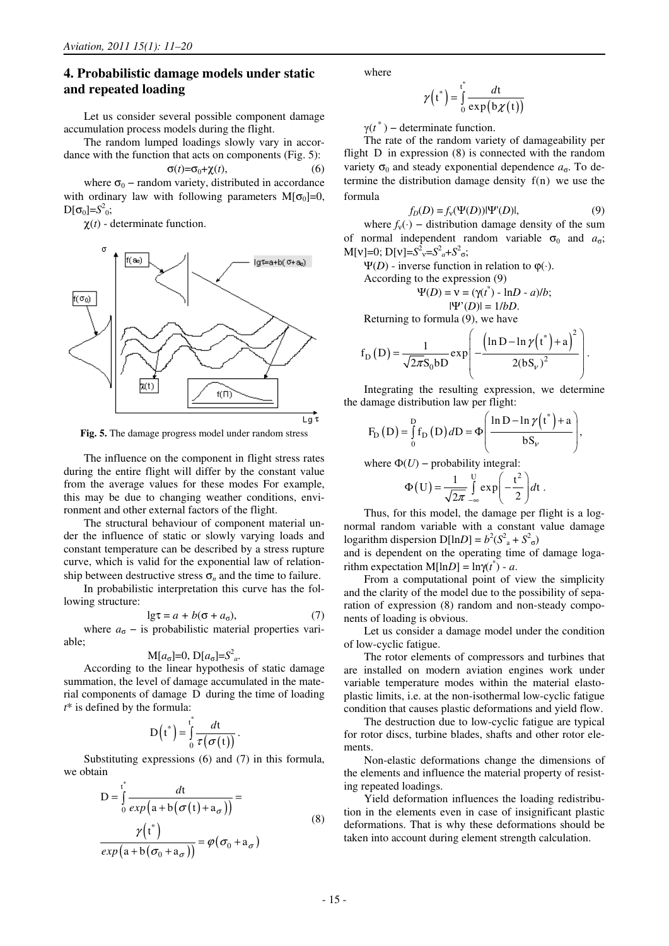# **4. Probabilistic damage models under static and repeated loading**

Let us consider several possible component damage accumulation process models during the flight.

The random lumped loadings slowly vary in accordance with the function that acts on components (Fig. 5):

$$
\sigma(t) = \sigma_0 + \chi(t),\tag{6}
$$

where  $\sigma_0$  – random variety, distributed in accordance with ordinary law with following parameters  $M[\sigma_0]=0$ ,  $D[\sigma_0] = S^2_0;$ 

 $\chi(t)$  - determinate function.



**Fig. 5.** The damage progress model under random stress

The influence on the component in flight stress rates during the entire flight will differ by the constant value from the average values for these modes For example, this may be due to changing weather conditions, environment and other external factors of the flight.

The structural behaviour of component material under the influence of static or slowly varying loads and constant temperature can be described by a stress rupture curve, which is valid for the exponential law of relationship between destructive stress  $\sigma_n$  and the time to failure.

In probabilistic interpretation this curve has the following structure:

$$
\lg \tau = a + b(\sigma + a_{\sigma}),\tag{7}
$$

where  $a_{\sigma}$  – is probabilistic material properties variable;

$$
M[a_{\sigma}]=0, D[a_{\sigma}]=S^2_a.
$$

According to the linear hypothesis of static damage summation, the level of damage accumulated in the material components of damage D during the time of loading *t*\* is defined by the formula:

$$
D(t^*) = \int_0^t \frac{dt}{\tau(\sigma(t))}.
$$

Substituting expressions (6) and (7) in this formula, we obtain

$$
D = \int_{0}^{t^{*}} \frac{dt}{exp(a+b(\sigma(t)+a_{\sigma}))} =
$$
  

$$
\frac{\gamma(t^{*})}{exp(a+b(\sigma_{0}+a_{\sigma}))} = \varphi(\sigma_{0}+a_{\sigma})
$$
 (8)

where

$$
\gamma(t^*) = \int_0^t \frac{dt}{\exp(b\chi(t))}
$$

 $\gamma(t^*)$  – determinate function.

The rate of the random variety of damageability per flight D in expression (8) is connected with the random variety  $\sigma_0$  and steady exponential dependence  $a_{\sigma}$ . To determine the distribution damage density f(n) we use the formula

$$
f_D(D) = f_v(\Psi(D)) |\Psi'(D)|, \tag{9}
$$

where  $f_v(\cdot)$  – distribution damage density of the sum of normal independent random variable  $\sigma_0$  and  $a_{\sigma}$ ;  $M[v]=0; D[v]=S^2_v=S^2_a+S^2_o;$ 

 $Ψ(D)$  - inverse function in relation to  $φ(·)$ .<br>According to the expression (9)

$$
cording to the expression (9)
$$

$$
\Psi(D) = \mathbf{v} = (\gamma(\mathbf{r}^*) - \ln D - a)/b;
$$
  

$$
|\Psi'(D)| = 1/bD.
$$

Returning to formula (9), we have

$$
f_{\rm D}(\mathbf{D}) = \frac{1}{\sqrt{2\pi}S_0 b \mathbf{D}} \exp\left(-\frac{\left(\ln \mathbf{D} - \ln \gamma(t^*) + \mathbf{a}\right)^2}{2(bS_v)^2}\right).
$$

Integrating the resulting expression, we determine the damage distribution law per flight:

$$
F_{D} (D) = \int_{0}^{D} f_{D} (D) dD = \Phi \left( \frac{\ln D - \ln \gamma(t^{*}) + a}{bS_{\nu}} \right),
$$

where  $\Phi(U)$  – probability integral:

$$
\Phi\left(\mathbf{U}\right) = \frac{1}{\sqrt{2\pi}} \int\limits_{-\infty}^{U} \exp\left(-\frac{t^2}{2}\right) dt \; .
$$

Thus, for this model, the damage per flight is a lognormal random variable with a constant value damage logarithm dispersion  $D[lnD] = b^2(S^2 + S^2)$ 

and is dependent on the operating time of damage logarithm expectation  $M[lnD] = ln\gamma(t^*) - a$ .

From a computational point of view the simplicity and the clarity of the model due to the possibility of separation of expression (8) random and non-steady components of loading is obvious.

Let us consider a damage model under the condition of low-cyclic fatigue.

The rotor elements of compressors and turbines that are installed on modern aviation engines work under variable temperature modes within the material elastoplastic limits, i.e. at the non-isothermal low-cyclic fatigue condition that causes plastic deformations and yield flow.

The destruction due to low-cyclic fatigue are typical for rotor discs, turbine blades, shafts and other rotor elements.

Non-elastic deformations change the dimensions of the elements and influence the material property of resisting repeated loadings.

Yield deformation influences the loading redistribution in the elements even in case of insignificant plastic deformations. That is why these deformations should be taken into account during element strength calculation.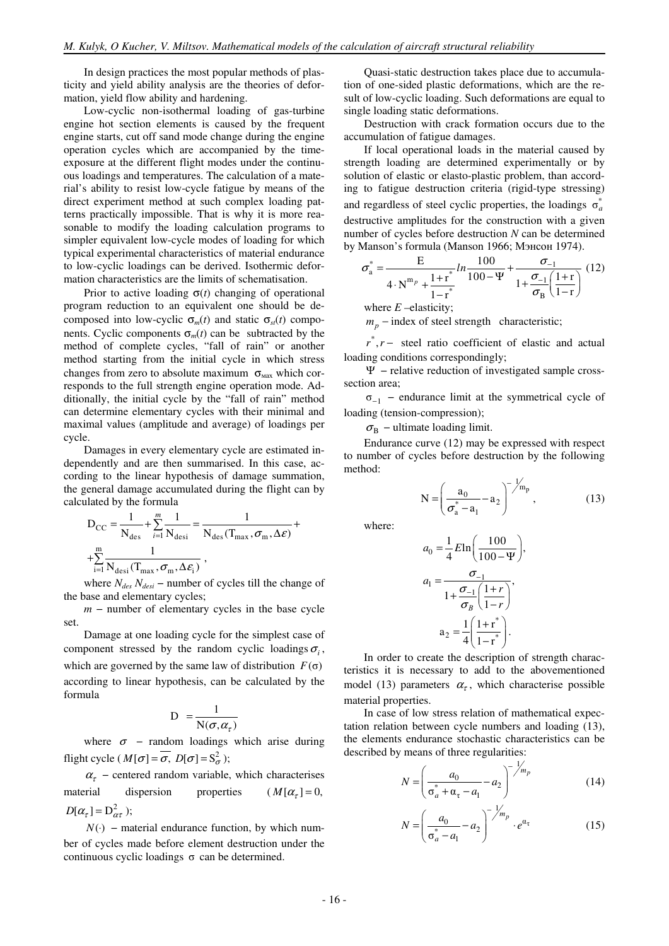In design practices the most popular methods of plasticity and yield ability analysis are the theories of deformation, yield flow ability and hardening.

Low-cyclic non-isothermal loading of gas-turbine engine hot section elements is caused by the frequent engine starts, cut off sand mode change during the engine operation cycles which are accompanied by the timeexposure at the different flight modes under the continuous loadings and temperatures. The calculation of a material's ability to resist low-cycle fatigue by means of the direct experiment method at such complex loading patterns practically impossible. That is why it is more reasonable to modify the loading calculation programs to simpler equivalent low-cycle modes of loading for which typical experimental characteristics of material endurance to low-cyclic loadings can be derived. Isothermic deformation characteristics are the limits of schematisation.

Prior to active loading  $\sigma(t)$  changing of operational program reduction to an equivalent one should be decomposed into low-cyclic  $\sigma_m(t)$  and static  $\sigma_{st}(t)$  components. Cyclic components  $\sigma_m(t)$  can be subtracted by the method of complete cycles, "fall of rain" or another method starting from the initial cycle in which stress changes from zero to absolute maximum  $\sigma_{\text{max}}$  which corresponds to the full strength engine operation mode. Additionally, the initial cycle by the "fall of rain" method can determine elementary cycles with their minimal and maximal values (amplitude and average) of loadings per cycle.

Damages in every elementary cycle are estimated independently and are then summarised. In this case, according to the linear hypothesis of damage summation, the general damage accumulated during the flight can by calculated by the formula

$$
D_{CC} = \frac{1}{N_{des}} + \sum_{i=1}^{m} \frac{1}{N_{desi}} = \frac{1}{N_{des}(T_{max}, \sigma_m, \Delta \varepsilon)} + \sum_{i=1}^{m} \frac{1}{N_{des}(T_{max}, \sigma_m, \Delta \varepsilon_i)},
$$

where *Ndes Ndesi* − number of cycles till the change of the base and elementary cycles;

*m* − number of elementary cycles in the base cycle set.

Damage at one loading cycle for the simplest case of component stressed by the random cyclic loadings  $\sigma_i$ , which are governed by the same law of distribution  $F(\sigma)$ according to linear hypothesis, can be calculated by the formula

$$
D = \frac{1}{N(\sigma, \alpha_{\tau})}
$$

where  $\sigma$  – random loadings which arise during flight cycle ( $M[\sigma] = \overline{\sigma}$ ,  $D[\sigma] = S_{\sigma}^2$ );

 $\alpha_{\tau}$  – centered random variable, which characterises material dispersion properties  $(M[\alpha_{\tau}] = 0,$  $D[\alpha_{\tau}] = D^2_{\alpha\tau}$ ;

 $N(·)$  – material endurance function, by which number of cycles made before element destruction under the continuous cyclic loadings  $σ$  can be determined.

Quasi-static destruction takes place due to accumulation of one-sided plastic deformations, which are the result of low-cyclic loading. Such deformations are equal to single loading static deformations.

Destruction with crack formation occurs due to the accumulation of fatigue damages.

If local operational loads in the material caused by strength loading are determined experimentally or by solution of elastic or elasto-plastic problem, than according to fatigue destruction criteria (rigid-type stressing) and regardless of steel cyclic properties, the loadings  $\sigma_a^*$ destructive amplitudes for the construction with a given number of cycles before destruction *N* can be determined by Manson's formula (Manson 1966; Мэнсон 1974).

$$
\sigma_{\rm a}^* = \frac{E}{4 \cdot N^{m_p} + \frac{1 + r^*}{1 - r^*}} ln \frac{100}{100 - \Psi} + \frac{\sigma_{-1}}{1 + \frac{\sigma_{-1}}{\sigma_{\rm B}} \left(\frac{1 + r}{1 - r}\right)} (12)
$$

where *E –*elasticity;

 $m_p$  – index of steel strength characteristic;

*r*<sup>\*</sup>, *r* − steel ratio coefficient of elastic and actual loading conditions correspondingly;

Ψ − relative reduction of investigated sample crosssection area;

σ−<sup>1</sup> − endurance limit at the symmetrical cycle of loading (tension-compression);

 $\sigma_{\rm B}$  – ultimate loading limit.

Endurance curve (12) may be expressed with respect to number of cycles before destruction by the following method:

$$
N = \left(\frac{a_0}{\sigma_a^* - a_1} - a_2\right)^{-\frac{1}{m_p}},
$$
 (13)

where:

$$
a_0 = \frac{1}{4} E \ln \left( \frac{100}{100 - \Psi} \right),
$$
  
\n
$$
a_1 = \frac{\sigma_{-1}}{1 + \frac{\sigma_{-1}}{\sigma_B} \left( \frac{1+r}{1-r} \right)},
$$
  
\n
$$
a_2 = \frac{1}{4} \left( \frac{1+r^*}{1-r^*} \right).
$$

In order to create the description of strength characteristics it is necessary to add to the abovementioned model (13) parameters  $\alpha_{\tau}$ , which characterise possible material properties.

In case of low stress relation of mathematical expectation relation between cycle numbers and loading (13), the elements endurance stochastic characteristics can be described by means of three regularities:

$$
N = \left(\frac{a_0}{\sigma_a^* + \alpha_\tau - a_1} - a_2\right)^{-\frac{1}{m_p}}
$$
(14)

$$
N = \left(\frac{a_0}{\sigma_a^* - a_1} - a_2\right)^{-\frac{1}{m_p}} \cdot e^{\alpha_{\tau}}
$$
 (15)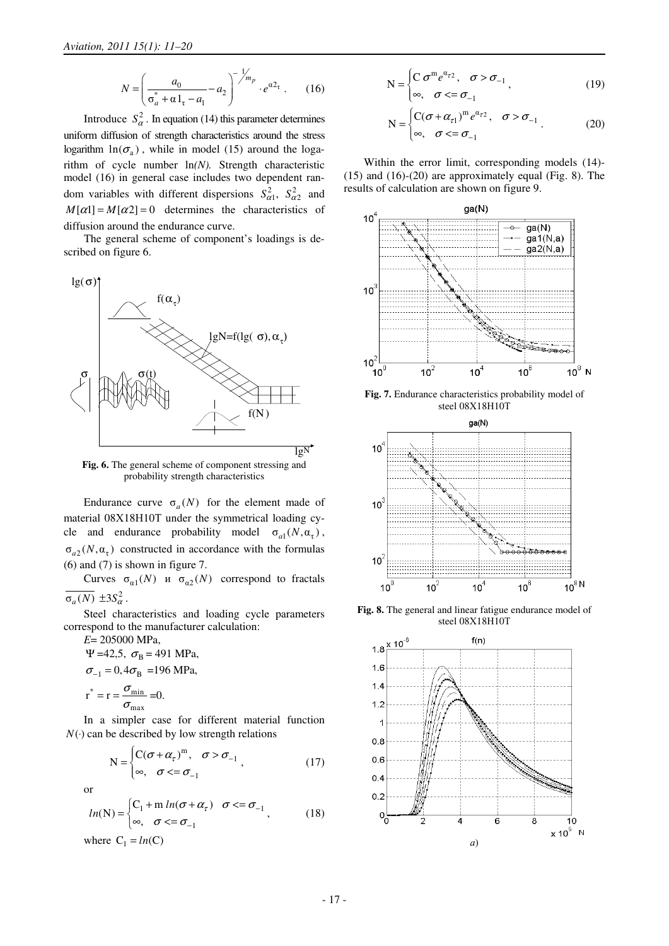$$
N = \left(\frac{a_0}{\sigma_a^* + \alpha \, 1_\tau - a_1} - a_2\right)^{-1/m_p} \cdot e^{\alpha 2_\tau} \,. \tag{16}
$$

Introduce  $S_{\alpha}^2$ . In equation (14) this parameter determines uniform diffusion of strength characteristics around the stress logarithm  $ln(\sigma_a)$ , while in model (15) around the logarithm of cycle number ln*(N).* Strength characteristic model (16) in general case includes two dependent random variables with different dispersions  $S_{\alpha 1}^2$ ,  $S_{\alpha 2}^2$  and  $M[\alpha] = M[\alpha] = 0$  determines the characteristics of diffusion around the endurance curve.

The general scheme of component's loadings is described on figure 6.



**Fig. 6.** The general scheme of component stressing and probability strength characteristics

Endurance curve  $\sigma_a(N)$  for the element made of material 08Х18Н10Т under the symmetrical loading cycle and endurance probability model  $\sigma_{a1}(N, \alpha_{\tau})$ ,  $\sigma_{a2}(N, \alpha_{\tau})$  constructed in accordance with the formulas (6) and (7) is shown in figure 7.

Curves  $\sigma_{\alpha 1}(N)$  *N*  $\sigma_{\alpha 2}(N)$  correspond to fractals  $\overline{\sigma_a(N)} \pm 3S_\alpha^2$ .

Steel characteristics and loading cycle parameters correspond to the manufacturer calculation:

*E*= 205000 MPa, Ψ = 42,5,  $\sigma_B$  = 491 MPa,  $\sigma_{-1} = 0, 4 \sigma_{\rm B} = 196$  MPa,  $*$   $\mathbf{r}$   $\mathbf{v}$  min max  $r^* = r = \frac{\sigma}{\sigma}$  $= r = \frac{6 \text{ min}}{\sigma_{\text{max}}} = 0.$ 

In a simpler case for different material function  $N(\cdot)$  can be described by low strength relations

$$
N = \begin{cases} C(\sigma + \alpha_{\tau})^{m}, & \sigma > \sigma_{-1} \\ \infty, & \sigma < = \sigma_{-1} \end{cases}
$$
 (17)

or

$$
ln(N) = \begin{cases} C_1 + m \ln(\sigma + \alpha_\tau) & \sigma \leq \sigma_{-1} \\ \infty, & \sigma \leq \sigma_{-1} \end{cases}
$$
 (18)  
where  $C_1 = ln(C)$ 

$$
N = \begin{cases} C \sigma^m e^{\alpha_{r2}}, & \sigma > \sigma_{-1} \\ \infty, & \sigma < = \sigma_{-1} \end{cases}
$$
 (19)

$$
N = \begin{cases} C(\sigma + \alpha_{\tau 1})^m e^{\alpha_{\tau 2}}, & \sigma > \sigma_{-1} \\ \infty, & \sigma < = \sigma_{-1} \end{cases} .
$$
 (20)

Within the error limit, corresponding models (14)- (15) and (16)-(20) are approximately equal (Fig. 8). The results of calculation are shown on figure 9.



**Fig. 7.** Endurance characteristics probability model of steel 08Х18Н10Т



**Fig. 8.** The general and linear fatigue endurance model of steel 08Х18Н10Т

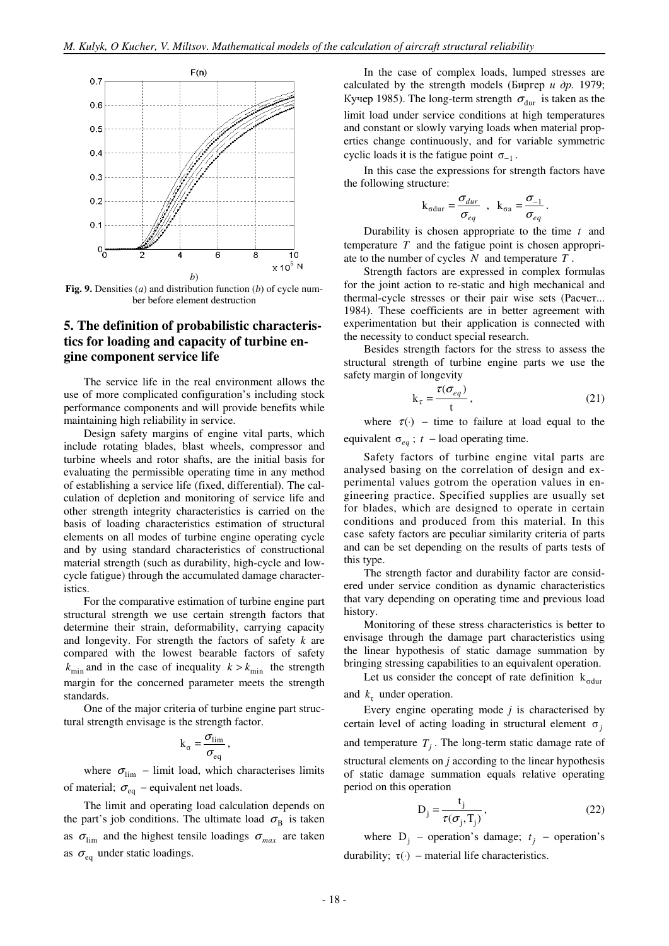

**Fig. 9.** Densities (а) and distribution function (*b*) of cycle number before element destruction

# **5. The definition of probabilistic characteristics for loading and capacity of turbine engine component service life**

The service life in the real environment allows the use of more complicated configuration's including stock performance components and will provide benefits while maintaining high reliability in service.

Design safety margins of engine vital parts, which include rotating blades, blast wheels, compressor and turbine wheels and rotor shafts, are the initial basis for evaluating the permissible operating time in any method of establishing a service life (fixed, differential). The calculation of depletion and monitoring of service life and other strength integrity characteristics is carried on the basis of loading characteristics estimation of structural elements on all modes of turbine engine operating cycle and by using standard characteristics of constructional material strength (such as durability, high-cycle and lowcycle fatigue) through the accumulated damage characteristics.

For the comparative estimation of turbine engine part structural strength we use certain strength factors that determine their strain, deformability, carrying capacity and longevity. For strength the factors of safety *k* are compared with the lowest bearable factors of safety  $k_{\text{min}}$  and in the case of inequality  $k > k_{\text{min}}$  the strength margin for the concerned parameter meets the strength standards.

One of the major criteria of turbine engine part structural strength envisage is the strength factor.

$$
k_{\sigma} = \frac{\sigma_{\text{lim}}}{\sigma_{\text{eq}}},
$$

where  $\sigma_{\text{lim}}$  – limit load, which characterises limits of material;  $\sigma_{eq}$  – equivalent net loads.

The limit and operating load calculation depends on the part's job conditions. The ultimate load  $\sigma_B$  is taken as  $\sigma_{\text{lim}}$  and the highest tensile loadings  $\sigma_{\text{max}}$  are taken as  $\sigma_{\rm eq}$  under static loadings.

In the case of complex loads, lumped stresses are calculated by the strength models (Биргер *и др.* 1979; Кучер 1985). The long-term strength  $\sigma_{\text{dur}}$  is taken as the limit load under service conditions at high temperatures and constant or slowly varying loads when material properties change continuously, and for variable symmetric cyclic loads it is the fatigue point  $\sigma_{-1}$ .

In this case the expressions for strength factors have the following structure:

$$
k_{\sigma dur} = \frac{\sigma_{dur}}{\sigma_{eq}} , k_{\sigma a} = \frac{\sigma_{-1}}{\sigma_{eq}}.
$$

Durability is chosen appropriate to the time *t* and temperature *T* and the fatigue point is chosen appropriate to the number of cycles *N* and temperature *T* .

Strength factors are expressed in complex formulas for the joint action to re-static and high mechanical and thermal-cycle stresses or their pair wise sets (Расчет... 1984). These coefficients are in better agreement with experimentation but their application is connected with the necessity to conduct special research.

Besides strength factors for the stress to assess the structural strength of turbine engine parts we use the safety margin of longevity

$$
k_{\tau} = \frac{\tau(\sigma_{eq})}{t},\tag{21}
$$

where  $\tau(\cdot)$  – time to failure at load equal to the equivalent  $\sigma_{ea}$ ; *t* – load operating time.

Safety factors of turbine engine vital parts are analysed basing on the correlation of design and experimental values gotrom the operation values in engineering practice. Specified supplies are usually set for blades, which are designed to operate in certain conditions and produced from this material. In this case safety factors are peculiar similarity criteria of parts and can be set depending on the results of parts tests of this type.

The strength factor and durability factor are considered under service condition as dynamic characteristics that vary depending on operating time and previous load history.

Monitoring of these stress characteristics is better to envisage through the damage part characteristics using the linear hypothesis of static damage summation by bringing stressing capabilities to an equivalent operation.

Let us consider the concept of rate definition  $k_{\text{odur}}$ and  $k<sub>\tau</sub>$  under operation.

Every engine operating mode *j* is characterised by certain level of acting loading in structural element  $\sigma_i$ and temperature  $T_j$ . The long-term static damage rate of structural elements on *j* according to the linear hypothesis of static damage summation equals relative operating period on this operation

$$
D_j = \frac{t_j}{\tau(\sigma_j, T_j)},
$$
\n(22)

where  $D_j$  – operation's damage;  $t_j$  – operation's durability:  $τ(·)$  – material life characteristics.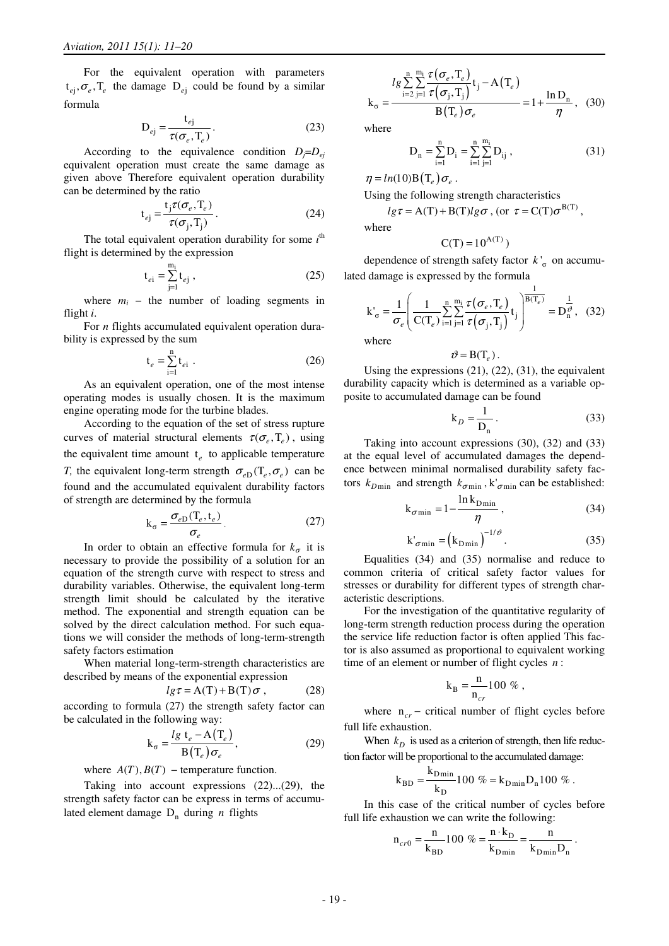For the equivalent operation with parameters  $t_{ej}, \sigma_e, T_e$  the damage  $D_{ej}$  could be found by a similar formula

$$
D_{ej} = \frac{t_{ej}}{\tau(\sigma_e, T_e)}.
$$
 (23)

According to the equivalence condition  $D_j = D_{ej}$ equivalent operation must create the same damage as given above Therefore equivalent operation durability can be determined by the ratio

$$
t_{ej} = \frac{t_j \tau(\sigma_e, T_e)}{\tau(\sigma_j, T_j)}.
$$
\n(24)

The total equivalent operation durability for some  $i<sup>th</sup>$ flight is determined by the expression

$$
t_{ei} = \sum_{j=1}^{m_i} t_{ej} ,
$$
 (25)

where  $m_i$  – the number of loading segments in flight *i*.

For *n* flights accumulated equivalent operation durability is expressed by the sum

$$
t_e = \sum_{i=1}^{n} t_{ei} \tag{26}
$$

As an equivalent operation, one of the most intense operating modes is usually chosen. It is the maximum engine operating mode for the turbine blades.

According to the equation of the set of stress rupture curves of material structural elements  $\tau(\sigma_a, T_a)$ , using the equivalent time amount  $t_e$  to applicable temperature *T*, the equivalent long-term strength  $\sigma_{e}$  (T<sub>e</sub>,  $\sigma_{e}$ ) can be found and the accumulated equivalent durability factors of strength are determined by the formula

$$
k_{\sigma} = \frac{\sigma_{eD}(T_e, t_e)}{\sigma_e}.
$$
 (27)

In order to obtain an effective formula for  $k_{\sigma}$  it is necessary to provide the possibility of a solution for an equation of the strength curve with respect to stress and durability variables. Otherwise, the equivalent long-term strength limit should be calculated by the iterative method. The exponential and strength equation can be solved by the direct calculation method. For such equations we will consider the methods of long-term-strength safety factors estimation

When material long-term-strength characteristics are described by means of the exponential expression

$$
lg \tau = A(T) + B(T) \sigma , \qquad (28)
$$

according to formula (27) the strength safety factor can be calculated in the following way:

$$
k_{\sigma} = \frac{l g t_e - A(T_e)}{B(T_e)\sigma_e},
$$
\n(29)

where  $A(T)$ ,  $B(T)$  – temperature function.

Taking into account expressions (22)...(29), the strength safety factor can be express in terms of accumulated element damage  $D_n$  during *n* flights

$$
k_{\sigma} = \frac{lg \sum_{i=2}^{n} \sum_{j=1}^{m_i} \tau(\sigma_e, T_e)}{B(T_e)\sigma_e} t_j - A(T_e)
$$
  
= 1 +  $\frac{\ln D_n}{\eta}$ , (30)

where

$$
D_n = \sum_{i=1}^{n} D_i = \sum_{i=1}^{n} \sum_{j=1}^{m_i} D_{ij} , \qquad (31)
$$

 $\eta = ln(10)B(T_e)\sigma_e$ .

Using the following strength characteristics

$$
lg \tau = A(T) + B(T)lg \sigma
$$
, (or  $\tau = C(T)\sigma^{B(T)}$ ,  
re

where

$$
C(T) = 10^{A(T)}
$$

dependence of strength safety factor  $k'$ <sub>σ</sub> on accumulated damage is expressed by the formula

$$
k'_{\sigma} = \frac{1}{\sigma_e} \left( \frac{1}{C(T_e)} \sum_{i=1}^{n} \sum_{j=1}^{m_i} \frac{\tau(\sigma_e, T_e)}{\tau(\sigma_j, T_j)} t_j \right)^{\frac{1}{B(T_e)}} = D_n^{\frac{1}{\rho^2}}, \quad (32)
$$

where

$$
\vartheta = B(T_e).
$$

Using the expressions (21), (22), (31), the equivalent durability capacity which is determined as a variable opposite to accumulated damage can be found

$$
k_D = \frac{1}{D_n} \,. \tag{33}
$$

Taking into account expressions (30), (32) and (33) at the equal level of accumulated damages the dependence between minimal normalised durability safety factors  $k_{D\text{min}}$  and strength  $k_{\sigma\text{min}}$ ,  $k'_{\sigma\text{min}}$  can be established:

$$
k_{\sigma \min} = 1 - \frac{\ln k_{D \min}}{\eta} \,, \tag{34}
$$

$$
k'_{\sigma \min} = (k_{D \min})^{-1/\vartheta}.
$$
 (35)

Equalities (34) and (35) normalise and reduce to common criteria of critical safety factor values for stresses or durability for different types of strength characteristic descriptions.

For the investigation of the quantitative regularity of long-term strength reduction process during the operation the service life reduction factor is often applied This factor is also assumed as proportional to equivalent working time of an element or number of flight cycles *n* :

$$
k_B = \frac{n}{n_{cr}} 100\% ,
$$

where  $n_{cr}$  – critical number of flight cycles before full life exhaustion.

When  $k_D$  is used as a criterion of strength, then life reduction factor will be proportional to the accumulated damage:

$$
k_{BD} = \frac{k_{D\min}}{k_D} 100\% = k_{D\min} D_n 100\%.
$$

In this case of the critical number of cycles before full life exhaustion we can write the following:

$$
n_{cr0} = \frac{n}{k_{BD}} 100\% = \frac{n \cdot k_D}{k_{D\min}} = \frac{n}{k_{D\min} D_n}.
$$